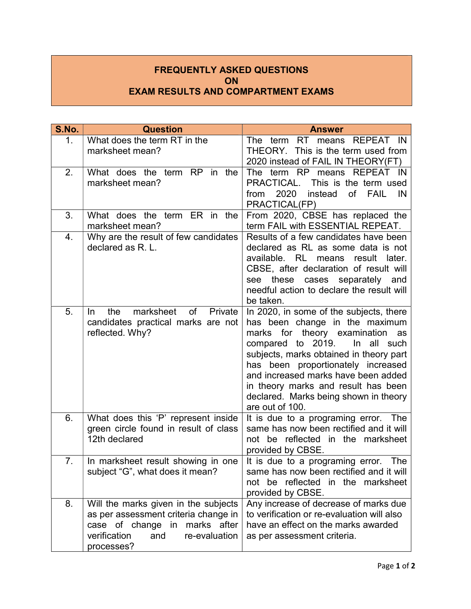## FREQUENTLY ASKED QUESTIONS **ON** EXAM RESULTS AND COMPARTMENT EXAMS

| S.No.          | <b>Question</b>                                                                                                                                                     | <b>Answer</b>                                                                                                                                                                                                                                                                                                                                                                  |
|----------------|---------------------------------------------------------------------------------------------------------------------------------------------------------------------|--------------------------------------------------------------------------------------------------------------------------------------------------------------------------------------------------------------------------------------------------------------------------------------------------------------------------------------------------------------------------------|
| 1 <sub>1</sub> | What does the term RT in the<br>marksheet mean?                                                                                                                     | RT means REPEAT IN<br>The term<br>THEORY. This is the term used from<br>2020 instead of FAIL IN THEORY(FT)                                                                                                                                                                                                                                                                     |
| 2.             | What does the term RP<br>in the<br>marksheet mean?                                                                                                                  | The term RP means REPEAT IN<br>This is the term used<br>PRACTICAL.<br>of<br>2020<br><b>FAIL</b><br>IN<br>from<br>instead<br>PRACTICAL(FP)                                                                                                                                                                                                                                      |
| 3.             | What does the term ER in the<br>marksheet mean?                                                                                                                     | From 2020, CBSE has replaced the<br>term FAIL with ESSENTIAL REPEAT.                                                                                                                                                                                                                                                                                                           |
| 4.             | Why are the result of few candidates<br>declared as R. L.                                                                                                           | Results of a few candidates have been<br>declared as RL as some data is not<br>RL<br>available.<br>means<br>result<br>later.<br>CBSE, after declaration of result will<br>these<br>separately and<br>cases<br>see<br>needful action to declare the result will<br>be taken.                                                                                                    |
| 5.             | the<br>marksheet<br>o <sub>f</sub><br>Private<br><b>In</b><br>candidates practical marks are not<br>reflected. Why?                                                 | In 2020, in some of the subjects, there<br>has been change in the maximum<br>marks for theory examination<br>as<br>compared to 2019.<br>In all such<br>subjects, marks obtained in theory part<br>has been proportionately increased<br>and increased marks have been added<br>in theory marks and result has been<br>declared. Marks being shown in theory<br>are out of 100. |
| 6.             | What does this 'P' represent inside<br>green circle found in result of class<br>12th declared                                                                       | It is due to a programing error. The<br>same has now been rectified and it will<br>not be reflected in the marksheet<br>provided by CBSE.                                                                                                                                                                                                                                      |
| 7.             | In marksheet result showing in one<br>subject "G", what does it mean?                                                                                               | It is due to a programing error.<br>The<br>same has now been rectified and it will<br>not be reflected in the marksheet<br>provided by CBSE.                                                                                                                                                                                                                                   |
| 8.             | Will the marks given in the subjects<br>as per assessment criteria change in<br>case of change in marks after<br>verification<br>and<br>re-evaluation<br>processes? | Any increase of decrease of marks due<br>to verification or re-evaluation will also<br>have an effect on the marks awarded<br>as per assessment criteria.                                                                                                                                                                                                                      |